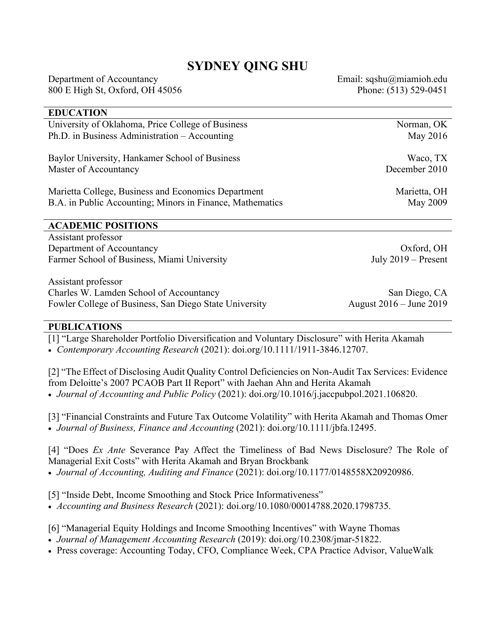## **SYDNEY QING SHU**

Department of Accountancy Email: sqshu@miamioh.edu 800 E High St, Oxford, OH 45056 Phone: (513) 529-0451

# **EDUCATION** University of Oklahoma, Price College of Business Norman, OK Ph.D. in Business Administration – Accounting May 2016 Baylor University, Hankamer School of Business Waco, TX Master of Accountancy December 2010 Marietta College, Business and Economics Department Marietta, OH B.A. in Public Accounting; Minors in Finance, Mathematics May 2009 **ACADEMIC POSITIONS** Assistant professor Department of Accountancy Oxford, OH Farmer School of Business, Miami University July 2019 – Present

Assistant professor Charles W. Lamden School of Accountancy San Diego, CA Fowler College of Business, San Diego State University August 2016 – June 2019

## **PUBLICATIONS**

[1] "Large Shareholder Portfolio Diversification and Voluntary Disclosure" with Herita Akamah • *Contemporary Accounting Research* (2021): doi.org/10.1111/1911-3846.12707.

[2] "The Effect of Disclosing Audit Quality Control Deficiencies on Non-Audit Tax Services: Evidence from Deloitte's 2007 PCAOB Part II Report" with Jaehan Ahn and Herita Akamah • *Journal of Accounting and Public Policy* (2021): doi.org/10.1016/j.jaccpubpol.2021.106820.

[3] "Financial Constraints and Future Tax Outcome Volatility" with Herita Akamah and Thomas Omer • *Journal of Business, Finance and Accounting* (2021): doi.org/10.1111/jbfa.12495.

[4] "Does *Ex Ante* Severance Pay Affect the Timeliness of Bad News Disclosure? The Role of Managerial Exit Costs" with Herita Akamah and Bryan Brockbank • *Journal of Accounting, Auditing and Finance* (2021): doi.org/10.1177/0148558X20920986.

[5] "Inside Debt, Income Smoothing and Stock Price Informativeness"

• *Accounting and Business Research* (2021): doi.org/10.1080/00014788.2020.1798735.

[6] "Managerial Equity Holdings and Income Smoothing Incentives" with Wayne Thomas

• *Journal of Management Accounting Research* (2019): doi.org/10.2308/jmar-51822.

• Press coverage: Accounting Today, CFO, Compliance Week, CPA Practice Advisor, ValueWalk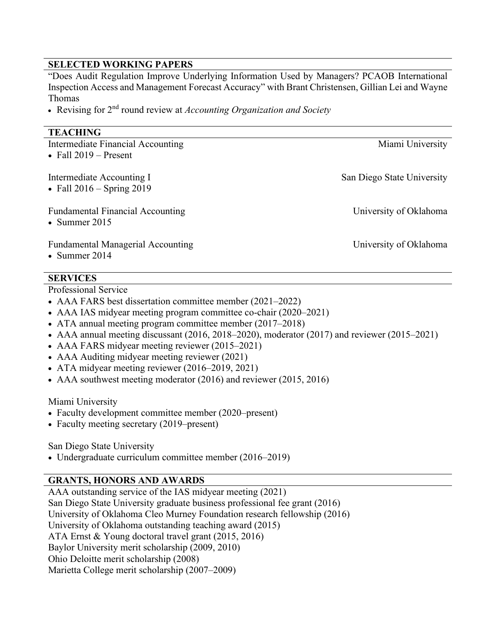## **SELECTED WORKING PAPERS**

"Does Audit Regulation Improve Underlying Information Used by Managers? PCAOB International Inspection Access and Management Forecast Accuracy" with Brant Christensen, Gillian Lei and Wayne Thomas

• Revising for 2<sup>nd</sup> round review at *Accounting Organization and Society* 

## **TEACHING**

| Intermediate Financial Accounting<br>• Fall $2019$ – Present | Miami University           |
|--------------------------------------------------------------|----------------------------|
| Intermediate Accounting I<br>• Fall $2016 -$ Spring $2019$   | San Diego State University |
| <b>Fundamental Financial Accounting</b><br>• Summer $2015$   | University of Oklahoma     |
| <b>Fundamental Managerial Accounting</b><br>• Summer $2014$  | University of Oklahoma     |

## **SERVICES**

Professional Service

- AAA FARS best dissertation committee member (2021–2022)
- AAA IAS midyear meeting program committee co-chair (2020–2021)
- ATA annual meeting program committee member (2017–2018)
- AAA annual meeting discussant (2016, 2018–2020), moderator (2017) and reviewer (2015–2021)
- AAA FARS midyear meeting reviewer (2015–2021)
- AAA Auditing midyear meeting reviewer (2021)
- ATA midyear meeting reviewer (2016–2019, 2021)
- AAA southwest meeting moderator (2016) and reviewer (2015, 2016)

#### Miami University

- Faculty development committee member (2020–present)
- Faculty meeting secretary (2019–present)

## San Diego State University

• Undergraduate curriculum committee member (2016–2019)

## **GRANTS, HONORS AND AWARDS**

AAA outstanding service of the IAS midyear meeting (2021) San Diego State University graduate business professional fee grant (2016) University of Oklahoma Cleo Murney Foundation research fellowship (2016) University of Oklahoma outstanding teaching award (2015) ATA Ernst & Young doctoral travel grant (2015, 2016) Baylor University merit scholarship (2009, 2010) Ohio Deloitte merit scholarship (2008) Marietta College merit scholarship (2007–2009)